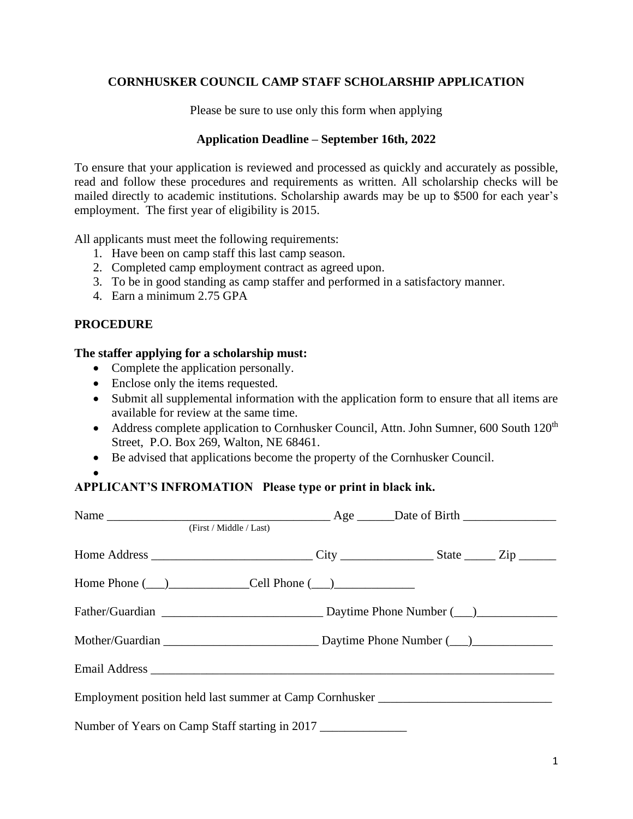# **CORNHUSKER COUNCIL CAMP STAFF SCHOLARSHIP APPLICATION**

Please be sure to use only this form when applying

#### **Application Deadline – September 16th, 2022**

To ensure that your application is reviewed and processed as quickly and accurately as possible, read and follow these procedures and requirements as written. All scholarship checks will be mailed directly to academic institutions. Scholarship awards may be up to \$500 for each year's employment. The first year of eligibility is 2015.

All applicants must meet the following requirements:

- 1. Have been on camp staff this last camp season.
- 2. Completed camp employment contract as agreed upon.
- 3. To be in good standing as camp staffer and performed in a satisfactory manner.
- 4. Earn a minimum 2.75 GPA

## **PROCEDURE**

#### **The staffer applying for a scholarship must:**

- Complete the application personally.
- Enclose only the items requested.
- Submit all supplemental information with the application form to ensure that all items are available for review at the same time.
- Address complete application to Cornhusker Council, Attn. John Sumner, 600 South 120<sup>th</sup> Street, P.O. Box 269, Walton, NE 68461.
- Be advised that applications become the property of the Cornhusker Council.
- •

## **APPLICANT'S INFROMATION Please type or print in black ink.**

| (First / Middle / Last)                                                          |  |  |
|----------------------------------------------------------------------------------|--|--|
|                                                                                  |  |  |
| $Home$ Phone $(\_\_)$ $\_\_$ Cell Phone $(\_\_)$                                 |  |  |
|                                                                                  |  |  |
|                                                                                  |  |  |
|                                                                                  |  |  |
| Employment position held last summer at Camp Cornhusker ________________________ |  |  |
| Number of Years on Camp Staff starting in 2017                                   |  |  |